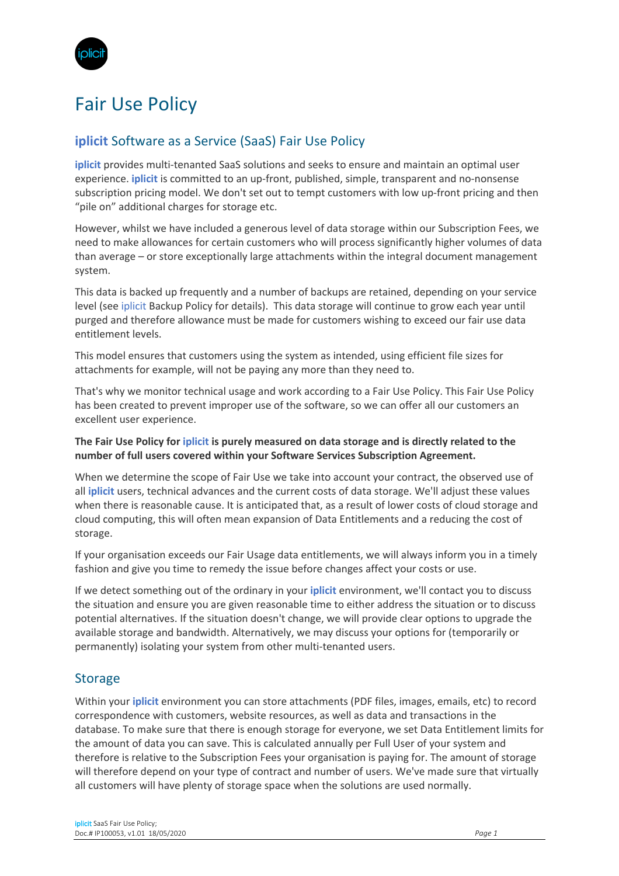

# Fair Use Policy

# **iplicit** Software as a Service (SaaS) Fair Use Policy

**iplicit** provides multi-tenanted SaaS solutions and seeks to ensure and maintain an optimal user experience. **iplicit** is committed to an up-front, published, simple, transparent and no-nonsense subscription pricing model. We don't set out to tempt customers with low up-front pricing and then "pile on" additional charges for storage etc.

However, whilst we have included a generous level of data storage within our Subscription Fees, we need to make allowances for certain customers who will process significantly higher volumes of data than average – or store exceptionally large attachments within the integral document management system.

This data is backed up frequently and a number of backups are retained, depending on your service level (see iplicit Backup Policy for details). This data storage will continue to grow each year until purged and therefore allowance must be made for customers wishing to exceed our fair use data entitlement levels.

This model ensures that customers using the system as intended, using efficient file sizes for attachments for example, will not be paying any more than they need to.

That's why we monitor technical usage and work according to a Fair Use Policy. This Fair Use Policy has been created to prevent improper use of the software, so we can offer all our customers an excellent user experience.

#### **The Fair Use Policy for iplicit is purely measured on data storage and is directly related to the number of full users covered within your Software Services Subscription Agreement.**

When we determine the scope of Fair Use we take into account your contract, the observed use of all **iplicit** users, technical advances and the current costs of data storage. We'll adjust these values when there is reasonable cause. It is anticipated that, as a result of lower costs of cloud storage and cloud computing, this will often mean expansion of Data Entitlements and a reducing the cost of storage.

If your organisation exceeds our Fair Usage data entitlements, we will always inform you in a timely fashion and give you time to remedy the issue before changes affect your costs or use.

If we detect something out of the ordinary in your **iplicit** environment, we'll contact you to discuss the situation and ensure you are given reasonable time to either address the situation or to discuss potential alternatives. If the situation doesn't change, we will provide clear options to upgrade the available storage and bandwidth. Alternatively, we may discuss your options for (temporarily or permanently) isolating your system from other multi-tenanted users.

### **Storage**

Within your **iplicit** environment you can store attachments (PDF files, images, emails, etc) to record correspondence with customers, website resources, as well as data and transactions in the database. To make sure that there is enough storage for everyone, we set Data Entitlement limits for the amount of data you can save. This is calculated annually per Full User of your system and therefore is relative to the Subscription Fees your organisation is paying for. The amount of storage will therefore depend on your type of contract and number of users. We've made sure that virtually all customers will have plenty of storage space when the solutions are used normally.